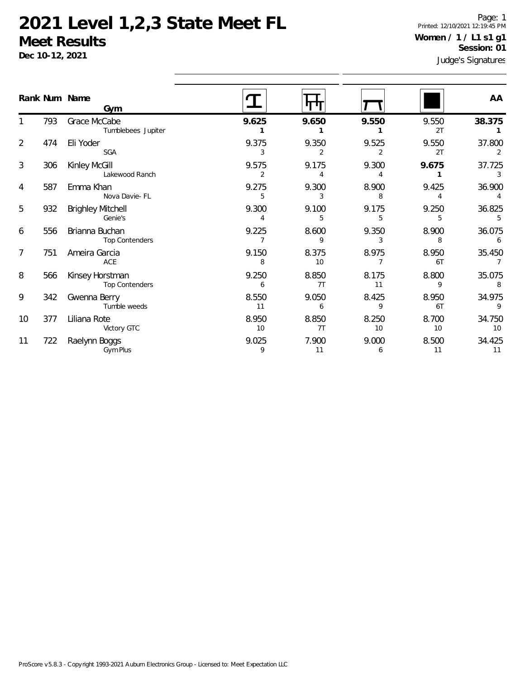**Dec 10-12, 2021**

Page: 1 Printed: 12/10/2021 12:19:45 PM **Women / 1 / L1 s1 g1 Session: 01**

|                |     | Rank Num Name<br>Gym                     |                         |                         |                         |                         | AA                                   |
|----------------|-----|------------------------------------------|-------------------------|-------------------------|-------------------------|-------------------------|--------------------------------------|
|                | 793 | Grace McCabe<br>Tumblebees Jupiter       | 9.625                   | 9.650                   | 9.550                   | 9.550<br>2T             | 38.375                               |
| $\overline{2}$ | 474 | Eli Yoder<br><b>SGA</b>                  | 9.375<br>3              | 9.350<br>2              | 9.525<br>2              | 9.550<br>2T             | 37.800<br>2                          |
| 3              | 306 | Kinley McGill<br>Lakewood Ranch          | 9.575<br>2              | 9.175<br>$\overline{4}$ | 9.300<br>$\overline{4}$ | 9.675<br>$\mathbf{1}$   | 37.725<br>3                          |
| 4              | 587 | Emma Khan<br>Nova Davie- FL              | 9.275<br>5              | 9.300<br>3              | 8.900<br>8              | 9.425<br>$\overline{4}$ | 36.900<br>$\overline{4}$             |
| 5              | 932 | <b>Brighley Mitchell</b><br>Genie's      | 9.300<br>$\overline{4}$ | 9.100<br>5              | 9.175<br>5              | 9.250<br>5              | 36.825<br>5                          |
| 6              | 556 | Brianna Buchan<br>Top Contenders         | 9.225<br>$\overline{7}$ | 8.600<br>9              | 9.350<br>3              | 8.900<br>8              | 36.075<br>6                          |
| $\overline{7}$ | 751 | Ameira Garcia<br>ACE                     | 9.150<br>8              | 8.375<br>10             | 8.975<br>7              | 8.950<br>6T             | 35.450<br>$\overline{7}$             |
| 8              | 566 | Kinsey Horstman<br><b>Top Contenders</b> | 9.250<br>6              | 8.850<br>7T             | 8.175<br>11             | 8.800<br>9              | 35.075<br>$\overline{\phantom{0}}$ 8 |
| 9              | 342 | Gwenna Berry<br>Tumble weeds             | 8.550<br>11             | 9.050<br>6              | 8.425<br>9              | 8.950<br>6T             | 34.975<br>$\overline{9}$             |
| 10             | 377 | Liliana Rote<br>Victory GTC              | 8.950<br>10             | 8.850<br>7T             | 8.250<br>10             | 8.700<br>10             | 34.750<br>10                         |
| 11             | 722 | Raelynn Boggs<br>Gym Plus                | 9.025<br>9              | 7.900<br>11             | 9.000<br>6              | 8.500<br>11             | 34.425<br>11                         |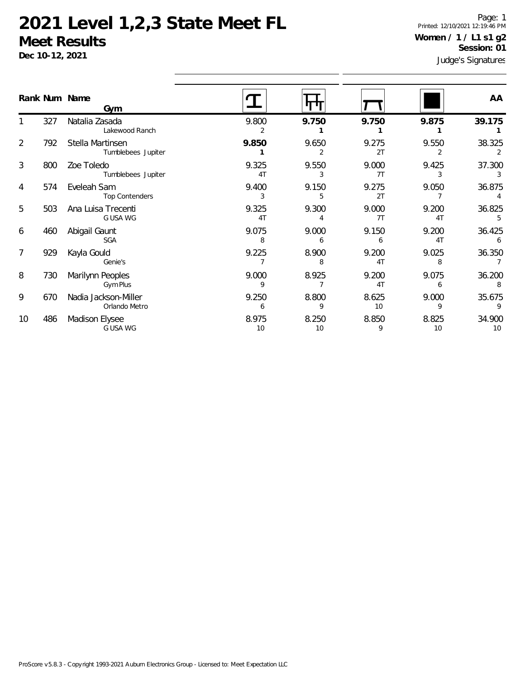**Dec 10-12, 2021**

Page: 1 Printed: 12/10/2021 12:19:46 PM **Women / 1 / L1 s1 g2 Session: 01**

|    | Rank Num Name | Gym                                    |                         |             |                         |                         | AA           |
|----|---------------|----------------------------------------|-------------------------|-------------|-------------------------|-------------------------|--------------|
|    | 327           | Natalia Zasada<br>Lakewood Ranch       | 9.800<br>$\overline{2}$ | 9.750       | 9.750                   | 9.875                   | 39.175       |
| 2  | 792           | Stella Martinsen<br>Tumblebees Jupiter | 9.850                   | 9.650       | 9.275<br>2T             | 9.550                   | 38.325       |
| 3  | 800           | Zoe Toledo<br>Tumblebees Jupiter       | 9.325<br>4 <sub>T</sub> | 9.550<br>3  | 9.000<br>7T             | 9.425<br>3              | 37.300<br>3  |
| 4  | 574           | Eveleah Sam<br><b>Top Contenders</b>   | 9.400<br>3              | 9.150<br>5  | 9.275<br>2T             | 9.050                   | 36.875       |
| 5  | 503           | Ana Luisa Trecenti<br>G USA WG         | 9.325<br>4T             | 9.300       | 9.000<br>7T             | 9.200<br>4 <sub>T</sub> | 36.825       |
| 6  | 460           | Abigail Gaunt<br><b>SGA</b>            | 9.075<br>8              | 9.000<br>6  | 9.150<br>6              | 9.200<br>4 <sub>T</sub> | 36.425<br>6  |
| 7  | 929           | Kayla Gould<br>Genie's                 | 9.225                   | 8.900<br>8  | 9.200<br>4T             | 9.025<br>8              | 36.350       |
| 8  | 730           | Marilynn Peoples<br>Gym Plus           | 9.000<br>9              | 8.925       | 9.200<br>4 <sub>1</sub> | 9.075<br>6              | 36.200<br>8  |
| 9  | 670           | Nadia Jackson-Miller<br>Orlando Metro  | 9.250<br>6              | 8.800<br>9  | 8.625<br>10             | 9.000<br>9              | 35.675       |
| 10 | 486           | <b>Madison Elysee</b><br>G USA WG      | 8.975<br>10             | 8.250<br>10 | 8.850<br>9              | 8.825<br>10             | 34.900<br>10 |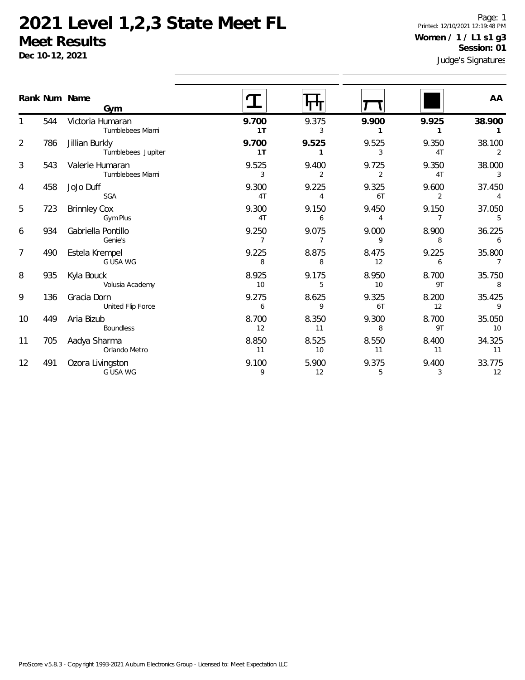**Dec 10-12, 2021**

Page: 1 Printed: 12/10/2021 12:19:48 PM **Women / 1 / L1 s1 g3 Session: 01**

|                |     | Rank Num Name<br>Gym                 |                         |                         |                         |                         | AA           |
|----------------|-----|--------------------------------------|-------------------------|-------------------------|-------------------------|-------------------------|--------------|
|                | 544 | Victoria Humaran<br>Tumblebees Miami | 9.700<br>1T             | 9.375<br>3              | 9.900                   | 9.925<br>1              | 38.900       |
| $\overline{2}$ | 786 | Jillian Burkly<br>Tumblebees Jupiter | 9.700<br>1 <sub>T</sub> | 9.525                   | 9.525<br>3              | 9.350<br>4T             | 38.100<br>2  |
| 3              | 543 | Valerie Humaran<br>Tumblebees Miami  | 9.525<br>3              | 9.400<br>$\overline{2}$ | 9.725<br>$\overline{2}$ | 9.350<br>4T             | 38.000<br>3  |
| 4              | 458 | JoJo Duff<br><b>SGA</b>              | 9.300<br>4T             | 9.225<br>4              | 9.325<br>6T             | 9.600<br>2              | 37.450       |
| 5              | 723 | <b>Brinnley Cox</b><br>Gym Plus      | 9.300<br>4T             | 9.150<br>6              | 9.450<br>4              | 9.150<br>$\overline{7}$ | 37.050<br>5  |
| 6              | 934 | Gabriella Pontillo<br>Genie's        | 9.250<br>$\overline{7}$ | 9.075<br>$\overline{7}$ | 9.000<br>9              | 8.900<br>8              | 36.225<br>6  |
| 7              | 490 | Estela Krempel<br>G USA WG           | 9.225<br>8              | 8.875<br>8              | 8.475<br>12             | 9.225<br>6              | 35.800<br>7  |
| 8              | 935 | Kyla Bouck<br>Volusia Academy        | 8.925<br>10             | 9.175<br>5              | 8.950<br>10             | 8.700<br>9T             | 35.750<br>8  |
| 9              | 136 | Gracia Dorn<br>United Flip Force     | 9.275<br>6              | 8.625<br>9              | 9.325<br>6T             | 8.200<br>12             | 35.425<br>9  |
| 10             | 449 | Aria Bizub<br><b>Boundless</b>       | 8.700<br>12             | 8.350<br>11             | 9.300<br>8              | 8.700<br>9T             | 35.050<br>10 |
| 11             | 705 | Aadya Sharma<br>Orlando Metro        | 8.850<br>11             | 8.525<br>10             | 8.550<br>11             | 8.400<br>11             | 34.325<br>11 |
| 12             | 491 | Ozora Livingston<br>G USA WG         | 9.100<br>9              | 5.900<br>12             | 9.375<br>5              | 9.400<br>3              | 33.775<br>12 |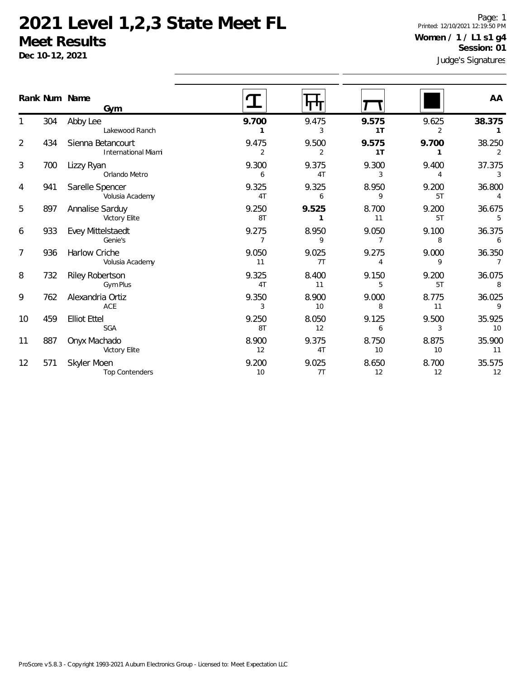**Dec 10-12, 2021**

Page: 1 Printed: 12/10/2021 12:19:50 PM **Women / 1 / L1 s1 g4 Session: 01**

|                |     | Rank Num Name<br>Gym                            |                         |             |                         |             | AA                       |
|----------------|-----|-------------------------------------------------|-------------------------|-------------|-------------------------|-------------|--------------------------|
|                | 304 | Abby Lee<br>Lakewood Ranch                      | 9.700                   | 9.475<br>3  | 9.575<br>1T             | 9.625<br>2  | 38.375<br>1              |
| $\overline{2}$ | 434 | Sienna Betancourt<br><b>International Miami</b> | 9.475<br>$\overline{2}$ | 9.500<br>2  | 9.575<br>1T             | 9.700       | 38.250<br>2              |
| 3              | 700 | Lizzy Ryan<br>Orlando Metro                     | 9.300<br>6              | 9.375<br>4T | 9.300<br>3              | 9.400<br>4  | 37.375<br>3              |
| 4              | 941 | Sarelle Spencer<br>Volusia Academy              | 9.325<br>4T             | 9.325<br>6  | 8.950<br>9              | 9.200<br>5T | 36.800                   |
| 5              | 897 | Annalise Sarduy<br>Victory Elite                | 9.250<br>8T             | 9.525<br>1  | 8.700<br>11             | 9.200<br>5T | 36.675<br>5              |
| 6              | 933 | Evey Mittelstaedt<br>Genie's                    | 9.275<br>$\overline{7}$ | 8.950<br>9  | 9.050                   | 9.100<br>8  | 36.375<br>6              |
| $\overline{7}$ | 936 | Harlow Criche<br>Volusia Academy                | 9.050<br>11             | 9.025<br>7T | 9.275<br>$\overline{4}$ | 9.000<br>9  | 36.350<br>$\overline{7}$ |
| 8              | 732 | Riley Robertson<br><b>Gym Plus</b>              | 9.325<br>4T             | 8.400<br>11 | 9.150<br>5              | 9.200<br>5T | 36.075<br>8              |
| 9              | 762 | Alexandria Ortiz<br>ACE                         | 9.350<br>3              | 8.900<br>10 | 9.000<br>8              | 8.775<br>11 | 36.025<br>9              |
| 10             | 459 | <b>Elliot Ettel</b><br><b>SGA</b>               | 9.250<br>8T             | 8.050<br>12 | 9.125<br>6              | 9.500<br>3  | 35.925<br>10             |
| 11             | 887 | Onyx Machado<br>Victory Elite                   | 8.900<br>12             | 9.375<br>4T | 8.750<br>10             | 8.875<br>10 | 35.900<br>11             |
| 12             | 571 | Skyler Moen<br><b>Top Contenders</b>            | 9.200<br>10             | 9.025<br>7T | 8.650<br>12             | 8.700<br>12 | 35.575<br>12             |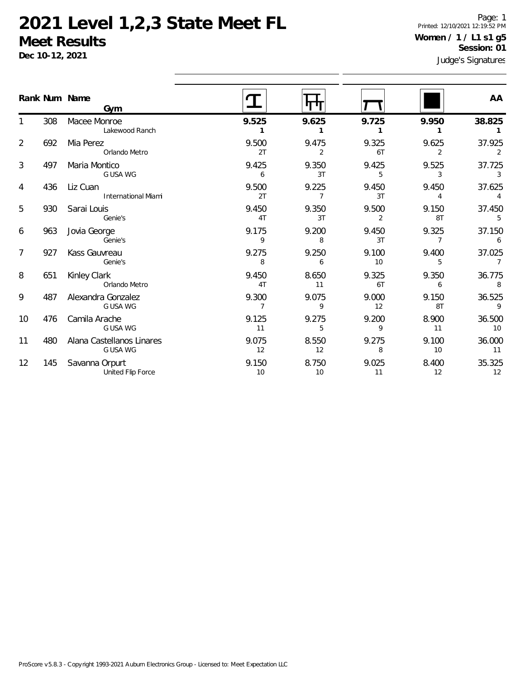**Dec 10-12, 2021**

Page: 1 Printed: 12/10/2021 12:19:52 PM **Women / 1 / L1 s1 g5 Session: 01**

| Judge's Signatures |
|--------------------|
|                    |

|                |     | Rank Num Name<br>Gym                   |             |                         |                         |             | AA                       |
|----------------|-----|----------------------------------------|-------------|-------------------------|-------------------------|-------------|--------------------------|
|                | 308 | Macee Monroe<br>Lakewood Ranch         | 9.525       | 9.625                   | 9.725                   | 9.950       | 38.825                   |
| $\overline{2}$ | 692 | Mia Perez<br>Orlando Metro             | 9.500<br>2T | 9.475<br>2              | 9.325<br>6T             | 9.625<br>2  | 37.925<br>2              |
| 3              | 497 | Maria Montico<br>G USA WG              | 9.425<br>6  | 9.350<br>3T             | 9.425<br>5              | 9.525<br>3  | 37.725<br>3              |
| 4              | 436 | Liz Cuan<br><b>International Miami</b> | 9.500<br>2T | 9.225<br>$\overline{7}$ | 9.450<br>3T             | 9.450<br>4  | 37.625<br>$\overline{4}$ |
| 5              | 930 | Sarai Louis<br>Genie's                 | 9.450<br>4T | 9.350<br>3T             | 9.500<br>$\overline{2}$ | 9.150<br>8T | 37.450<br>5              |
| 6              | 963 | Jovia George<br>Genie's                | 9.175<br>9  | 9.200<br>8              | 9.450<br>3T             | 9.325<br>7  | 37.150<br>6              |
| $\overline{7}$ | 927 | Kass Gauvreau<br>Genie's               | 9.275<br>8  | 9.250<br>6              | 9.100<br>10             | 9.400<br>5  | 37.025                   |
| 8              | 651 | Kinley Clark<br>Orlando Metro          | 9.450<br>4T | 8.650<br>11             | 9.325<br>6T             | 9.350<br>6  | 36.775<br>8              |
| 9              | 487 | Alexandra Gonzalez<br>G USA WG         | 9.300<br>7  | 9.075<br>9              | 9.000<br>12             | 9.150<br>8T | 36.525<br>9              |
| 10             | 476 | Camila Arache<br>G USA WG              | 9.125<br>11 | 9.275<br>5              | 9.200<br>9              | 8.900<br>11 | 36.500<br>10             |
| 11             | 480 | Alana Castellanos Linares<br>G USA WG  | 9.075<br>12 | 8.550<br>12             | 9.275<br>8              | 9.100<br>10 | 36.000<br>11             |
| 12             | 145 | Savanna Orpurt<br>United Flip Force    | 9.150<br>10 | 8.750<br>10             | 9.025<br>11             | 8.400<br>12 | 35.325<br>12             |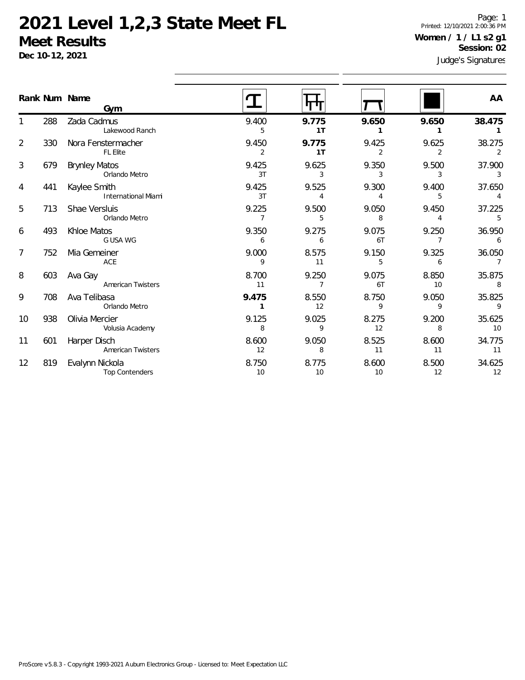**Dec 10-12, 2021**

Page: 1 Printed: 12/10/2021 2:00:36 PM **Women / 1 / L1 s2 g1 Session: 02**

|                |     | Rank Num Name<br>Gym                       |                         |                         |                         |                         | AA                       |
|----------------|-----|--------------------------------------------|-------------------------|-------------------------|-------------------------|-------------------------|--------------------------|
|                | 288 | Zada Cadmus<br>Lakewood Ranch              | 9.400<br>5              | 9.775<br>1T             | 9.650<br>1              | 9.650<br>1              | 38.475                   |
| $\overline{2}$ | 330 | Nora Fenstermacher<br><b>FL Elite</b>      | 9.450<br>$\overline{2}$ | 9.775<br>1 <sub>T</sub> | 9.425<br>$\overline{2}$ | 9.625<br>$\overline{2}$ | 38.275<br>2              |
| 3              | 679 | <b>Brynley Matos</b><br>Orlando Metro      | 9.425<br>3T             | 9.625<br>3              | 9.350<br>3              | 9.500<br>3              | 37.900<br>3              |
| 4              | 441 | Kaylee Smith<br><b>International Miami</b> | 9.425<br>3T             | 9.525<br>$\overline{4}$ | 9.300<br>$\overline{4}$ | 9.400<br>5              | 37.650                   |
| 5              | 713 | Shae Versluis<br>Orlando Metro             | 9.225<br>$\overline{7}$ | 9.500<br>5              | 9.050<br>8              | 9.450<br>$\overline{4}$ | 37.225<br>5              |
| 6              | 493 | Khloe Matos<br>G USA WG                    | 9.350<br>6              | 9.275<br>6              | 9.075<br>6T             | 9.250<br>7              | 36.950<br>6              |
| 7              | 752 | Mia Gemeiner<br>ACE                        | 9.000<br>9              | 8.575<br>11             | 9.150<br>5              | 9.325<br>6              | 36.050<br>$\overline{7}$ |
| 8              | 603 | Ava Gay<br><b>American Twisters</b>        | 8.700<br>11             | 9.250<br>$\overline{7}$ | 9.075<br>6T             | 8.850<br>10             | 35.875<br>8              |
| 9              | 708 | Ava Telibasa<br>Orlando Metro              | 9.475<br>1              | 8.550<br>12             | 8.750<br>9              | 9.050<br>9              | 35.825<br>$\mathsf{Q}$   |
| 10             | 938 | Olivia Mercier<br>Volusia Academy          | 9.125<br>8              | 9.025<br>9              | 8.275<br>12             | 9.200<br>8              | 35.625<br>10             |
| 11             | 601 | Harper Disch<br>American Twisters          | 8.600<br>12             | 9.050<br>8              | 8.525<br>11             | 8.600<br>11             | 34.775<br>11             |
| 12             | 819 | Evalynn Nickola<br><b>Top Contenders</b>   | 8.750<br>10             | 8.775<br>10             | 8.600<br>10             | 8.500<br>12             | 34.625<br>12             |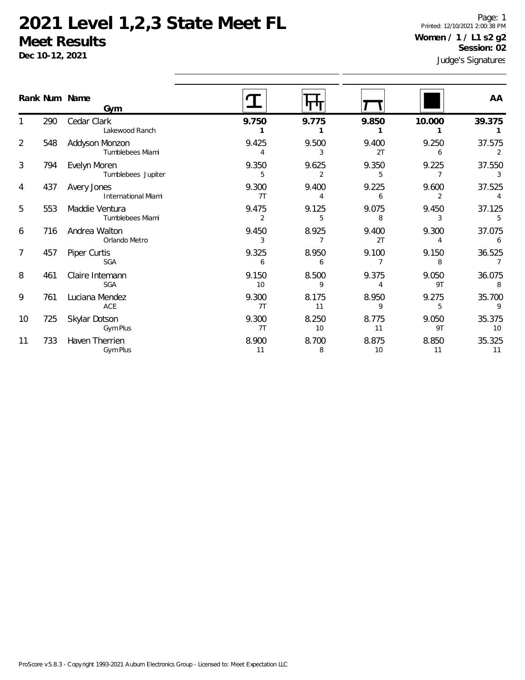**Dec 10-12, 2021**

Page: 1 Printed: 12/10/2021 2:00:38 PM **Women / 1 / L1 s2 g2 Session: 02**

|                |     | Rank Num Name<br>Gym                      |                         |                         |                         |                         | AA                       |
|----------------|-----|-------------------------------------------|-------------------------|-------------------------|-------------------------|-------------------------|--------------------------|
|                | 290 | Cedar Clark<br>Lakewood Ranch             | 9.750                   | 9.775                   | 9.850                   | 10.000                  | 39.375                   |
| $\overline{2}$ | 548 | Addyson Monzon<br>Tumblebees Miami        | 9.425<br>$\overline{4}$ | 9.500<br>3              | 9.400<br>2T             | 9.250<br>6              | 37.575<br>2              |
| 3              | 794 | Evelyn Moren<br>Tumblebees Jupiter        | 9.350<br>5              | 9.625<br>2              | 9.350<br>5              | 9.225<br>$\overline{7}$ | 37.550<br>3              |
| 4              | 437 | Avery Jones<br><b>International Miami</b> | 9.300<br>7T             | 9.400<br>4              | 9.225<br>6              | 9.600<br>2              | 37.525<br>$\overline{4}$ |
| 5              | 553 | Maddie Ventura<br>Tumblebees Miami        | 9.475<br>2              | 9.125<br>5              | 9.075<br>8              | 9.450<br>3              | 37.125<br>.5             |
| 6              | 716 | Andrea Walton<br>Orlando Metro            | 9.450<br>3              | 8.925<br>$\overline{7}$ | 9.400<br>2T             | 9.300<br>$\overline{4}$ | 37.075<br>6              |
| $\overline{7}$ | 457 | Piper Curtis<br><b>SGA</b>                | 9.325<br>6              | 8.950<br>6              | 9.100<br>$\overline{7}$ | 9.150<br>8              | 36.525<br>$\overline{7}$ |
| 8              | 461 | Claire Intemann<br><b>SGA</b>             | 9.150<br>10             | 8.500<br>9              | 9.375<br>$\overline{4}$ | 9.050<br>9T             | 36.075<br>8              |
| 9              | 761 | Luciana Mendez<br>ACE                     | 9.300<br>7T             | 8.175<br>11             | 8.950<br>9              | 9.275<br>5              | 35.700<br>$\overline{9}$ |
| 10             | 725 | Skylar Dotson<br>Gym Plus                 | 9.300<br>7T             | 8.250<br>10             | 8.775<br>11             | 9.050<br>9T             | 35.375<br>10             |
| 11             | 733 | Haven Therrien<br>Gym Plus                | 8.900<br>11             | 8.700<br>8              | 8.875<br>10             | 8.850<br>11             | 35.325<br>11             |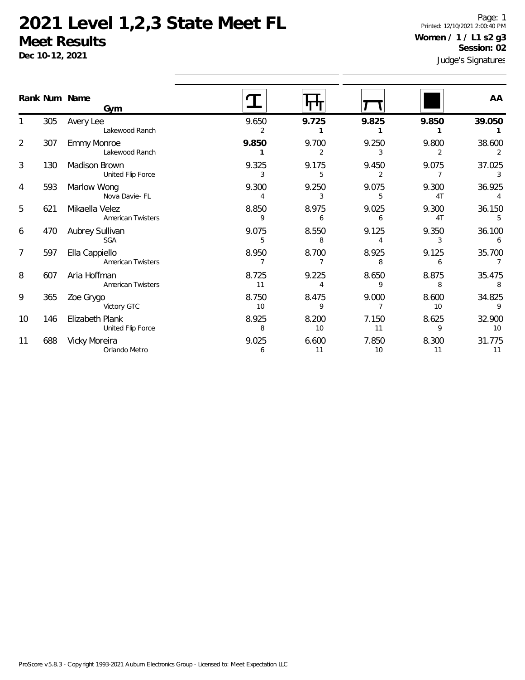**Dec 10-12, 2021**

Page: 1 Printed: 12/10/2021 2:00:40 PM **Women / 1 / L1 s2 g3 Session: 02**

|                |     | Rank Num Name<br>Gym                       |             |                         |             |                         | AA                       |
|----------------|-----|--------------------------------------------|-------------|-------------------------|-------------|-------------------------|--------------------------|
|                | 305 | Avery Lee<br>Lakewood Ranch                | 9.650<br>2  | 9.725                   | 9.825       | 9.850                   | 39.050                   |
| $\overline{2}$ | 307 | Emmy Monroe<br>Lakewood Ranch              | 9.850       | 9.700<br>$\overline{2}$ | 9.250<br>3  | 9.800<br>$\overline{2}$ | 38.600<br>2              |
| 3              | 130 | Madison Brown<br>United Flip Force         | 9.325<br>3  | 9.175<br>5              | 9.450<br>2  | 9.075                   | 37.025<br>3              |
| 4              | 593 | Marlow Wong<br>Nova Davie- FL              | 9.300<br>4  | 9.250<br>3              | 9.075<br>5  | 9.300<br>4T             | 36.925                   |
| 5              | 621 | Mikaella Velez<br><b>American Twisters</b> | 8.850<br>9  | 8.975<br>6              | 9.025<br>6  | 9.300<br>4T             | 36.150<br>5              |
| 6              | 470 | Aubrey Sullivan<br>SGA                     | 9.075<br>5  | 8.550<br>8              | 9.125<br>4  | 9.350<br>3              | 36.100<br>6              |
| $\overline{7}$ | 597 | Ella Cappiello<br><b>American Twisters</b> | 8.950<br>7  | 8.700<br>7              | 8.925<br>8  | 9.125<br>6              | 35.700<br>$\overline{7}$ |
| 8              | 607 | Aria Hoffman<br>American Twisters          | 8.725<br>11 | 9.225<br>$\overline{4}$ | 8.650<br>9  | 8.875<br>8              | 35.475<br>8              |
| 9              | 365 | Zoe Grygo<br>Victory GTC                   | 8.750<br>10 | 8.475<br>9              | 9.000       | 8.600<br>10             | 34.825<br>9              |
| 10             | 146 | Elizabeth Plank<br>United Flip Force       | 8.925<br>8  | 8.200<br>10             | 7.150<br>11 | 8.625<br>9              | 32.900<br>10             |
| 11             | 688 | Vicky Moreira<br>Orlando Metro             | 9.025<br>6  | 6.600<br>11             | 7.850<br>10 | 8.300<br>11             | 31.775<br>11             |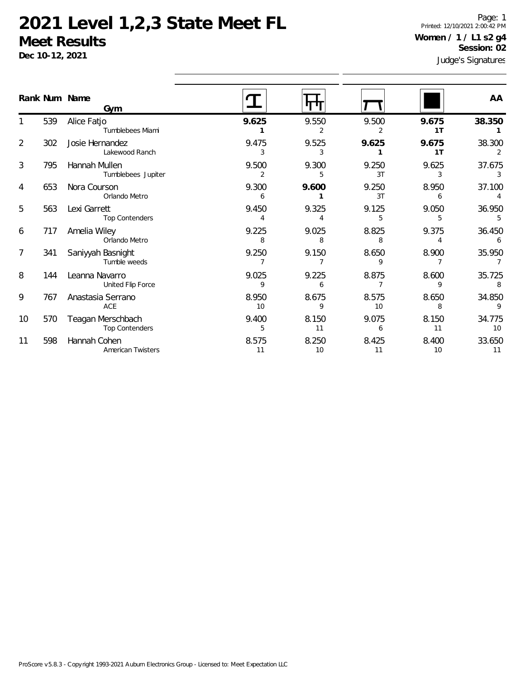**Dec 10-12, 2021**

Page: 1 Printed: 12/10/2021 2:00:42 PM **Women / 1 / L1 s2 g4 Session: 02**

|                |     | Rank Num Name<br>Gym                       |                         |             |                         |                         | AA           |
|----------------|-----|--------------------------------------------|-------------------------|-------------|-------------------------|-------------------------|--------------|
|                | 539 | Alice Fatjo<br>Tumblebees Miami            | 9.625                   | 9.550       | 9.500                   | 9.675<br>1T             | 38.350       |
| $\overline{2}$ | 302 | Josie Hernandez<br>Lakewood Ranch          | 9.475<br>3              | 9.525<br>3  | 9.625                   | 9.675<br>1 <sub>T</sub> | 38.300<br>2  |
| 3              | 795 | Hannah Mullen<br>Tumblebees Jupiter        | 9.500<br>$\overline{2}$ | 9.300<br>5  | 9.250<br>3T             | 9.625<br>3              | 37.675<br>3  |
| 4              | 653 | Nora Courson<br>Orlando Metro              | 9.300<br>6              | 9.600       | 9.250<br>3T             | 8.950<br>6              | 37.100       |
| 5              | 563 | Lexi Garrett<br><b>Top Contenders</b>      | 9.450                   | 9.325       | 9.125<br>5              | 9.050<br>5              | 36.950<br>5  |
| 6              | 717 | Amelia Wiley<br>Orlando Metro              | 9.225<br>8              | 9.025<br>8  | 8.825<br>8              | 9.375<br>4              | 36.450<br>6  |
| 7              | 341 | Saniyyah Basnight<br>Tumble weeds          | 9.250<br>$\overline{7}$ | 9.150       | 8.650<br>9              | 8.900                   | 35.950       |
| 8              | 144 | Leanna Navarro<br>United Flip Force        | 9.025<br>9              | 9.225<br>6  | 8.875<br>$\overline{7}$ | 8.600<br>9              | 35.725<br>8  |
| 9              | 767 | Anastasia Serrano<br>ACE                   | 8.950<br>10             | 8.675<br>9  | 8.575<br>10             | 8.650<br>8              | 34.850<br>9  |
| 10             | 570 | Teagan Merschbach<br><b>Top Contenders</b> | 9.400<br>5              | 8.150<br>11 | 9.075<br>6              | 8.150<br>11             | 34.775<br>10 |
| 11             | 598 | Hannah Cohen<br>American Twisters          | 8.575<br>11             | 8.250<br>10 | 8.425<br>11             | 8.400<br>10             | 33.650<br>11 |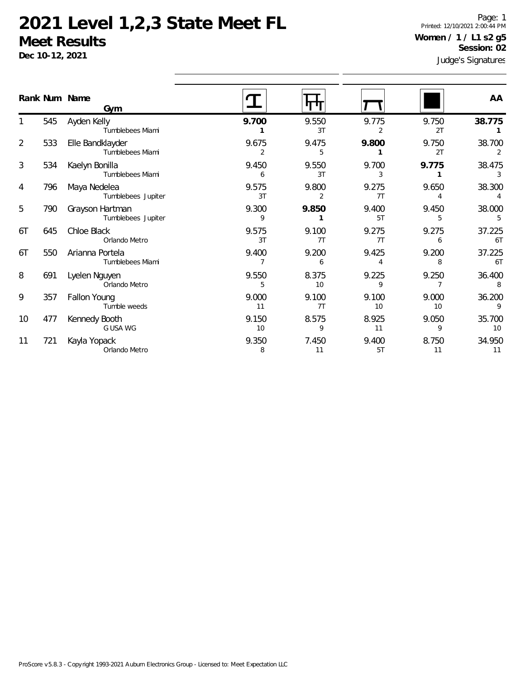**Dec 10-12, 2021**

Page: 1 Printed: 12/10/2021 2:00:44 PM **Women / 1 / L1 s2 g5 Session: 02**

|                |      | Rank Num Name<br>Gym                  |             |             |             |                         | AA                       |
|----------------|------|---------------------------------------|-------------|-------------|-------------|-------------------------|--------------------------|
|                | 545  | Ayden Kelly<br>Tumblebees Miami       | 9.700       | 9.550<br>3T | 9.775<br>2  | 9.750<br>2T             | 38.775                   |
| $\overline{2}$ | 533  | Elle Bandklayder<br>Tumblebees Miami  | 9.675<br>2  | 9.475<br>5  | 9.800       | 9.750<br>2T             | 38.700<br>2              |
| 3              | 534  | Kaelyn Bonilla<br>Tumblebees Miami    | 9.450<br>6  | 9.550<br>3T | 9.700<br>3  | 9.775<br>$\mathbf{1}$   | 38.475<br>3              |
| 4              | 796  | Maya Nedelea<br>Tumblebees Jupiter    | 9.575<br>3T | 9.800<br>2  | 9.275<br>7T | 9.650<br>$\overline{4}$ | 38.300<br>$\overline{4}$ |
| 5              | 790. | Grayson Hartman<br>Tumblebees Jupiter | 9.300<br>9  | 9.850       | 9.400<br>5T | 9.450<br>5              | 38.000<br>5              |
| 6T             | 645  | Chloe Black<br>Orlando Metro          | 9.575<br>3T | 9.100<br>7T | 9.275<br>7T | 9.275<br>6              | 37.225<br>6T             |
| 6T             | 550  | Arianna Portela<br>Tumblebees Miami   | 9.400<br>7  | 9.200<br>6  | 9.425<br>4  | 9.200<br>8              | 37.225<br>6T             |
| 8              | 691  | Lyelen Nguyen<br>Orlando Metro        | 9.550<br>5  | 8.375<br>10 | 9.225<br>9  | 9.250<br>$\overline{7}$ | 36.400<br>8              |
| 9              | 357  | Fallon Young<br>Tumble weeds          | 9.000<br>11 | 9.100<br>7T | 9.100<br>10 | 9.000<br>10             | 36.200<br>9              |
| 10             | 477  | Kennedy Booth<br>G USA WG             | 9.150<br>10 | 8.575<br>9  | 8.925<br>11 | 9.050<br>9              | 35.700<br>10             |
| 11             | 721  | Kayla Yopack<br>Orlando Metro         | 9.350<br>8  | 7.450<br>11 | 9.400<br>5T | 8.750<br>11             | 34.950<br>11             |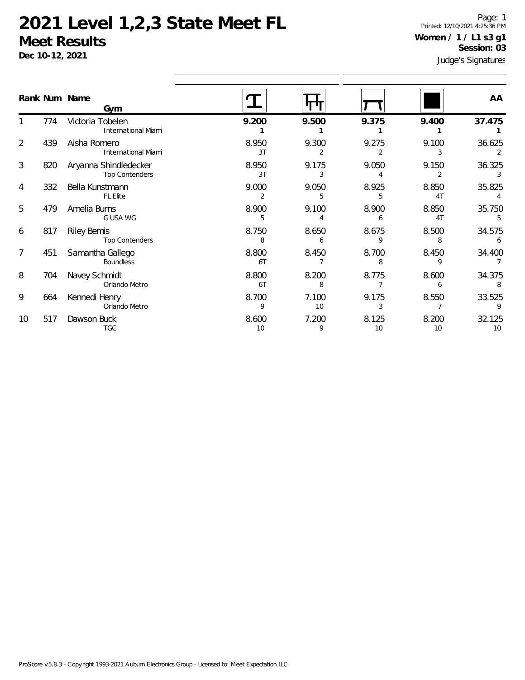**Dec 10-12, 2021**

Page: 1 Printed: 12/10/2021 4:25:36 PM **Women / 1 / L1 s3 g1 Session: 03**

|                | Rank Num Name | Gym                                            |             |             |             |                         | AA           |
|----------------|---------------|------------------------------------------------|-------------|-------------|-------------|-------------------------|--------------|
|                | 774           | Victoria Tobelen<br><b>International Miami</b> | 9.200       | 9.500       | 9.375       | 9.400                   | 37.475       |
| 2              | 439           | Aisha Romero<br>International Miami            | 8.950<br>3T | 9.300       | 9.275       | 9.100                   | 36.625       |
| $\mathfrak{Z}$ | 820           | Aryanna Shindledecker<br><b>Top Contenders</b> | 8.950<br>3T | 9.175<br>3  | 9.050       | 9.150                   | 36.325       |
| 4              | 332           | Bella Kunstmann<br><b>FL Elite</b>             | 9.000<br>2  | 9.050<br>5  | 8.925<br>5  | 8.850<br>4 <sub>T</sub> | 35.825       |
| 5              | 479           | Amelia Burns<br>G USA WG                       | 8.900<br>5  | 9.100       | 8.900<br>h  | 8.850<br>4 <sub>T</sub> | 35.750       |
| 6              | 817           | <b>Riley Bemis</b><br><b>Top Contenders</b>    | 8.750<br>8  | 8.650<br>6  | 8.675<br>q  | 8.500<br>8              | 34.575       |
| 7              | 451           | Samantha Gallego<br><b>Boundless</b>           | 8.800<br>6T | 8.450       | 8.700<br>8  | 8.450<br>9              | 34.400       |
| 8              | 704           | Navey Schmidt<br>Orlando Metro                 | 8.800<br>6T | 8.200<br>8  | 8.775       | 8.600<br>6              | 34.375<br>8  |
| 9              | 664           | Kennedi Henry<br>Orlando Metro                 | 8.700<br>9  | 7.100<br>10 | 9.175       | 8.550                   | 33.525       |
| 10             | 517           | Dawson Buck<br><b>TGC</b>                      | 8.600<br>10 | 7.200<br>9  | 8.125<br>10 | 8.200<br>10             | 32.125<br>10 |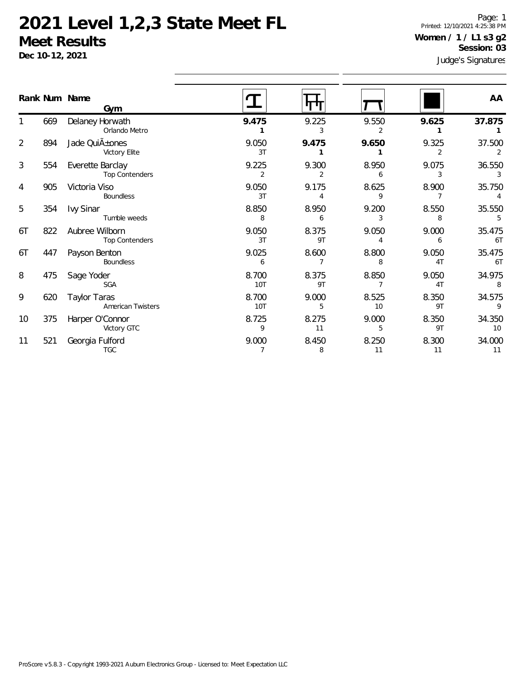**Dec 10-12, 2021**

Page: 1 Printed: 12/10/2021 4:25:38 PM **Women / 1 / L1 s3 g2 Session: 03**

|                |     | Rank Num Name<br>Gym                      |                         |             |                         |             | AA           |
|----------------|-----|-------------------------------------------|-------------------------|-------------|-------------------------|-------------|--------------|
|                | 669 | Delaney Horwath<br>Orlando Metro          | 9.475                   | 9.225<br>3  | 9.550                   | 9.625       | 37.875       |
| $\overline{2}$ | 894 | Jade QuiA ± ones<br>Victory Elite         | 9.050<br>3T             | 9.475       | 9.650                   | 9.325<br>2  | 37.500       |
| 3              | 554 | Everette Barclay<br><b>Top Contenders</b> | 9.225<br>2              | 9.300<br>2  | 8.950<br>6              | 9.075<br>3  | 36.550<br>3  |
| 4              | 905 | Victoria Viso<br>Boundless                | 9.050<br>3T             | 9.175       | 8.625<br>9              | 8.900       | 35.750       |
| 5              | 354 | <b>Ivy Sinar</b><br>Tumble weeds          | 8.850<br>8              | 8.950<br>6  | 9.200<br>3              | 8.550<br>8  | 35.550<br>5  |
| 6T             | 822 | Aubree Wilborn<br><b>Top Contenders</b>   | 9.050<br>3T             | 8.375<br>9T | 9.050<br>$\overline{4}$ | 9.000<br>6  | 35.475<br>6T |
| 6T             | 447 | Payson Benton<br>Boundless                | 9.025<br>6              | 8.600       | 8.800<br>8              | 9.050<br>4T | 35.475<br>6T |
| 8              | 475 | Sage Yoder<br><b>SGA</b>                  | 8.700<br>10T            | 8.375<br>9T | 8.850                   | 9.050<br>4T | 34.975<br>8  |
| 9              | 620 | <b>Taylor Taras</b><br>American Twisters  | 8.700<br>10T            | 9.000<br>5  | 8.525<br>10             | 8.350<br>9T | 34.575<br>9  |
| 10             | 375 | Harper O'Connor<br>Victory GTC            | 8.725<br>9              | 8.275<br>11 | 9.000<br>5              | 8.350<br>9T | 34.350<br>10 |
| 11             | 521 | Georgia Fulford<br><b>TGC</b>             | 9.000<br>$\overline{7}$ | 8.450<br>8  | 8.250<br>11             | 8.300<br>11 | 34.000<br>11 |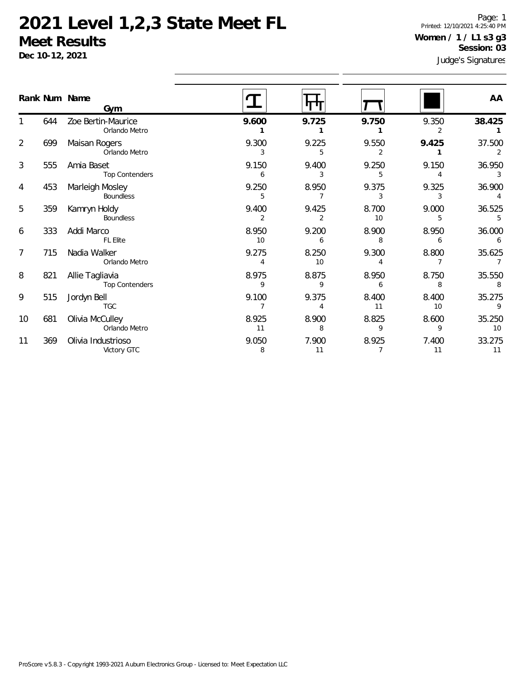**Dec 10-12, 2021**

Page: 1 Printed: 12/10/2021 4:25:40 PM **Women / 1 / L1 s3 g3 Session: 03**

|                |     | Rank Num Name<br>Gym                     |                         |                         |                         |                         | AA           |
|----------------|-----|------------------------------------------|-------------------------|-------------------------|-------------------------|-------------------------|--------------|
|                | 644 | Zoe Bertin-Maurice<br>Orlando Metro      | 9.600                   | 9.725                   | 9.750                   | 9.350<br>2              | 38.425       |
| $\overline{2}$ | 699 | Maisan Rogers<br>Orlando Metro           | 9.300<br>3              | 9.225<br>5              | 9.550<br>$\overline{2}$ | 9.425<br>$\mathbf{1}$   | 37.500       |
| 3              | 555 | Amia Baset<br><b>Top Contenders</b>      | 9.150<br>6              | 9.400<br>3              | 9.250<br>5              | 9.150<br>$\overline{4}$ | 36.950<br>3  |
| 4              | 453 | Marleigh Mosley<br>Boundless             | 9.250<br>5              | 8.950<br>7              | 9.375<br>3              | 9.325<br>3              | 36.900       |
| 5              | 359 | Kamryn Holdy<br>Boundless                | 9.400<br>$\overline{2}$ | 9.425<br>$\overline{2}$ | 8.700<br>10             | 9.000<br>5              | 36.525<br>5  |
| 6              | 333 | Addi Marco<br>FL Elite                   | 8.950<br>10             | 9.200<br>6              | 8.900<br>8              | 8.950<br>6              | 36.000<br>6  |
| $\overline{7}$ | 715 | Nadia Walker<br>Orlando Metro            | 9.275<br>$\overline{4}$ | 8.250<br>10             | 9.300<br>4              | 8.800<br>$\overline{7}$ | 35.625       |
| 8              | 821 | Allie Tagliavia<br><b>Top Contenders</b> | 8.975<br>9              | 8.875<br>9              | 8.950<br>6              | 8.750<br>8              | 35.550<br>8  |
| 9              | 515 | Jordyn Bell<br><b>TGC</b>                | 9.100                   | 9.375                   | 8.400<br>11             | 8.400<br>10             | 35.275<br>9  |
| 10             | 681 | Olivia McCulley<br>Orlando Metro         | 8.925<br>11             | 8.900<br>8              | 8.825<br>9              | 8.600<br>9              | 35.250<br>10 |
| 11             | 369 | Olivia Industrioso<br>Victory GTC        | 9.050<br>8              | 7.900<br>11             | 8.925<br>$\overline{7}$ | 7.400<br>11             | 33.275<br>11 |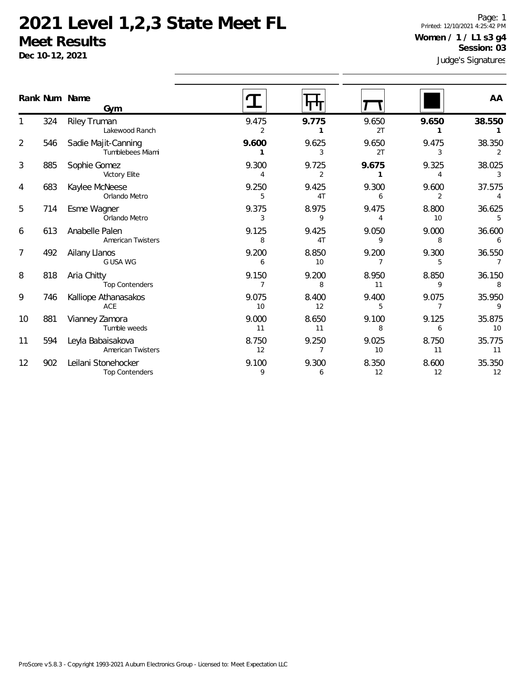**Dec 10-12, 2021**

Page: 1 Printed: 12/10/2021 4:25:42 PM **Women / 1 / L1 s3 g4 Session: 03**

|                |     | Rank Num Name<br>Gym                          |             |                         |                         |                         | AA                       |
|----------------|-----|-----------------------------------------------|-------------|-------------------------|-------------------------|-------------------------|--------------------------|
|                | 324 | Riley Truman<br>Lakewood Ranch                | 9.475<br>2  | 9.775                   | 9.650<br>2T             | 9.650                   | 38.550                   |
| 2              | 546 | Sadie Majit-Canning<br>Tumblebees Miami       | 9.600       | 9.625<br>3              | 9.650<br>2T             | 9.475<br>3              | 38.350<br>2              |
| 3              | 885 | Sophie Gomez<br>Victory Elite                 | 9.300<br>4  | 9.725<br>2              | 9.675                   | 9.325<br>4              | 38.025<br>3              |
| 4              | 683 | Kaylee McNeese<br>Orlando Metro               | 9.250<br>5  | 9.425<br>4 <sub>T</sub> | 9.300<br>6              | 9.600<br>$\overline{2}$ | 37.575                   |
| 5              | 714 | Esme Wagner<br>Orlando Metro                  | 9.375<br>3  | 8.975<br>9              | 9.475<br>$\overline{A}$ | 8.800<br>10             | 36.625<br>5              |
| 6              | 613 | Anabelle Palen<br><b>American Twisters</b>    | 9.125<br>8  | 9.425<br>4T             | 9.050<br>9              | 9.000<br>8              | 36.600<br>6              |
| $\overline{7}$ | 492 | Ailany Llanos<br>G USA WG                     | 9.200<br>6  | 8.850<br>10             | 9.200<br>7              | 9.300<br>5              | 36.550<br>$\overline{7}$ |
| 8              | 818 | Aria Chitty<br><b>Top Contenders</b>          | 9.150       | 9.200<br>8              | 8.950<br>11             | 8.850<br>9              | 36.150<br>8              |
| 9              | 746 | Kalliope Athanasakos<br>ACE                   | 9.075<br>10 | 8.400<br>12             | 9.400<br>5              | 9.075<br>7              | 35.950<br>9              |
| 10             | 881 | Vianney Zamora<br>Tumble weeds                | 9.000<br>11 | 8.650<br>11             | 9.100<br>8              | 9.125<br>6              | 35.875<br>10             |
| 11             | 594 | Leyla Babaisakova<br><b>American Twisters</b> | 8.750<br>12 | 9.250<br>$\overline{7}$ | 9.025<br>10             | 8.750<br>11             | 35.775<br>11             |
| 12             | 902 | Leilani Stonehocker<br><b>Top Contenders</b>  | 9.100<br>9  | 9.300<br>6              | 8.350<br>12             | 8.600<br>12             | 35.350<br>12             |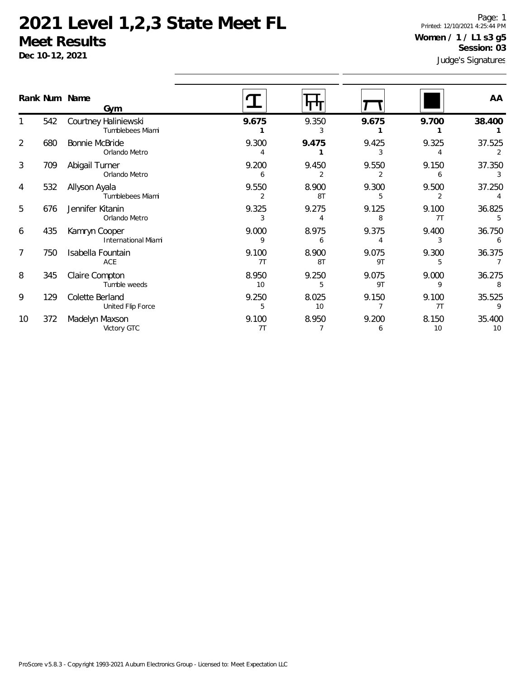**Dec 10-12, 2021**

Page: 1 Printed: 12/10/2021 4:25:44 PM **Women / 1 / L1 s3 g5 Session: 03**

|    | Rank Num Name | Gym                                         |             |             |             |             | AA           |
|----|---------------|---------------------------------------------|-------------|-------------|-------------|-------------|--------------|
|    | 542           | Courtney Haliniewski<br>Tumblebees Miami    | 9.675       | 9.350       | 9.675       | 9.700       | 38.400       |
| 2  | 680           | <b>Bonnie McBride</b><br>Orlando Metro      | 9.300       | 9.475       | 9.425       | 9.325       | 37.525       |
| 3  | 709           | Abigail Turner<br>Orlando Metro             | 9.200<br>6  | 9.450       | 9.550       | 9.150<br>6  | 37.350       |
| 4  | 532           | Allyson Ayala<br>Tumblebees Miami           | 9.550<br>2  | 8.900<br>8T | 9.300<br>5  | 9.500       | 37.250       |
| 5  | 676           | Jennifer Kitanin<br>Orlando Metro           | 9.325<br>3  | 9.275       | 9.125<br>8  | 9.100<br>7T | 36.825       |
| 6  | 435           | Kamryn Cooper<br><b>International Miami</b> | 9.000<br>9  | 8.975<br>6  | 9.375       | 9.400       | 36.750       |
| 7  | 750           | Isabella Fountain<br>ACE                    | 9.100<br>7T | 8.900<br>8T | 9.075<br>9T | 9.300<br>5  | 36.375       |
| 8  | 345           | Claire Compton<br>Tumble weeds              | 8.950<br>10 | 9.250<br>5  | 9.075<br>9T | 9.000<br>9  | 36.275<br>8  |
| 9  | 129           | Colette Berland<br>United Flip Force        | 9.250<br>5  | 8.025<br>10 | 9.150       | 9.100<br>7T | 35.525       |
| 10 | 372           | Madelyn Maxson<br>Victory GTC               | 9.100<br>7T | 8.950       | 9.200<br>6  | 8.150<br>10 | 35.400<br>10 |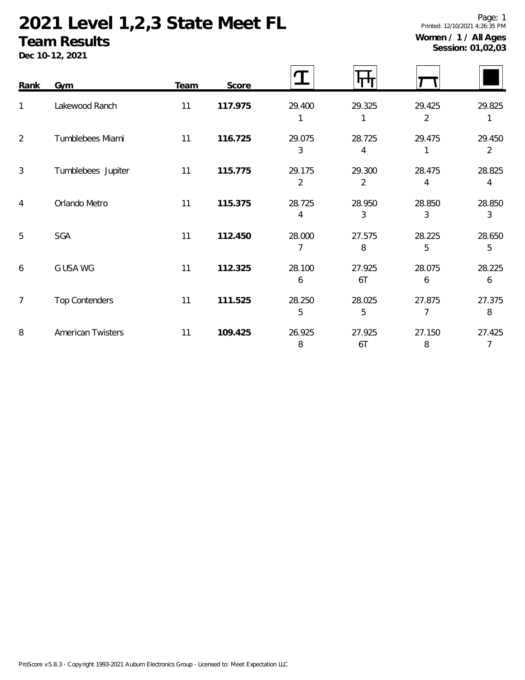# **2021 Level 1,2,3 State Meet FL**

#### **Team Results**

**Dec 10-12, 2021**

| Rank           | Gym                      | Team | Score   |                          |                          |                          |                          |
|----------------|--------------------------|------|---------|--------------------------|--------------------------|--------------------------|--------------------------|
| $\mathbf{1}$   | Lakewood Ranch           | 11   | 117.975 | 29.400                   | 29.325                   | 29.425<br>$\overline{2}$ | 29.825                   |
| $\overline{2}$ | Tumblebees Miami         | 11   | 116.725 | 29.075<br>3              | 28.725<br>4              | 29.475<br>1              | 29.450<br>$\overline{2}$ |
| 3              | Tumblebees Jupiter       | 11   | 115.775 | 29.175<br>$\overline{2}$ | 29.300<br>$\overline{2}$ | 28.475<br>4              | 28.825<br>4              |
| 4              | Orlando Metro            | 11   | 115.375 | 28.725<br>4              | 28.950<br>3              | 28.850<br>3              | 28.850<br>3              |
| 5              | <b>SGA</b>               | 11   | 112.450 | 28.000<br>7              | 27.575<br>8              | 28.225<br>5              | 28.650<br>5              |
| 6              | G USA WG                 | 11   | 112.325 | 28.100<br>6              | 27.925<br>6T             | 28.075<br>6              | 28.225<br>6              |
| $\overline{7}$ | <b>Top Contenders</b>    | 11   | 111.525 | 28.250<br>5              | 28.025<br>5              | 27.875<br>7              | 27.375<br>8              |
| 8              | <b>American Twisters</b> | 11   | 109.425 | 26.925<br>8              | 27.925<br>6T             | 27.150<br>8              | 27.425<br>7              |